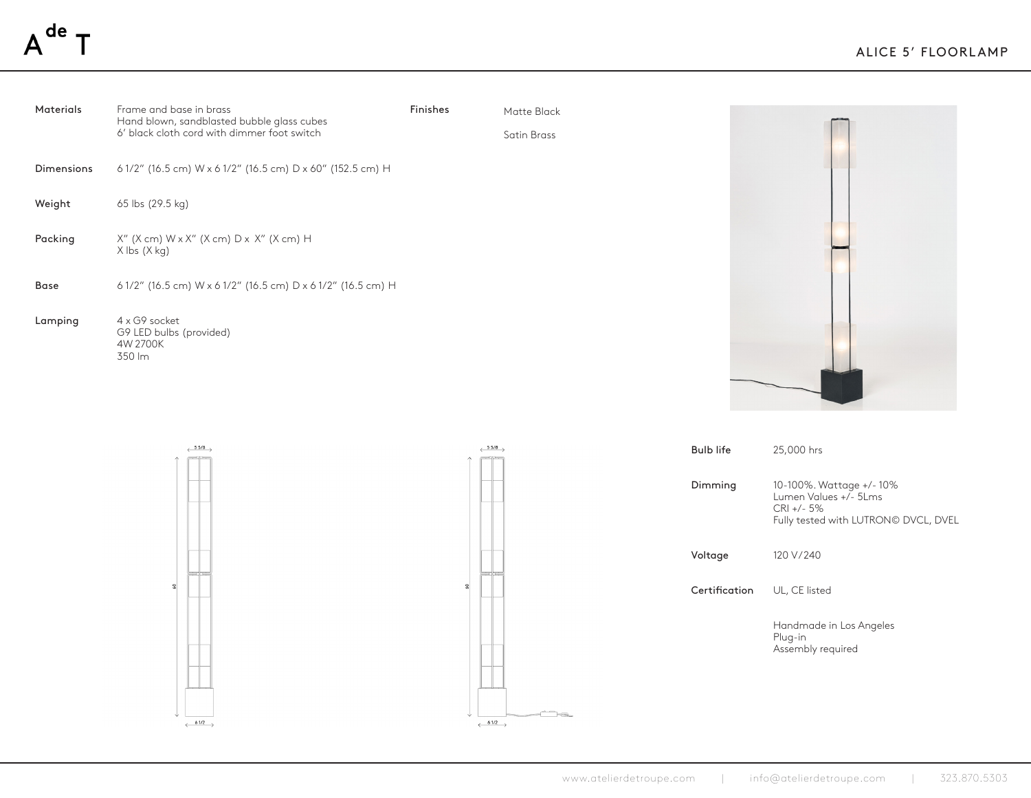| <b>Materials</b> | Frame and base in brass<br>Hand blown, sandblasted bubble glass cubes     | Finishes | Matte Black |  |
|------------------|---------------------------------------------------------------------------|----------|-------------|--|
|                  | 6' black cloth cord with dimmer foot switch                               |          | Satin Brass |  |
| Dimensions       | 61/2" (16.5 cm) W x 61/2" (16.5 cm) D x 60" (152.5 cm) H                  |          |             |  |
| Weight           | 65 lbs (29.5 kg)                                                          |          |             |  |
| Packing          | X" (X cm) W x X" (X cm) D x X" (X cm) H<br>$X$ lbs $(X$ kg)               |          |             |  |
| <b>Base</b>      | 61/2" (16.5 cm) $W \times 61/2$ " (16.5 cm) $D \times 61/2$ " (16.5 cm) H |          |             |  |
| Lamping          | 4 x G9 socket<br>G9 LED bulbs (provided)<br>4W 2700K<br>350 lm            |          |             |  |







Ts.

| <b>Bulb life</b> | 25,000 hrs                                                                                               |
|------------------|----------------------------------------------------------------------------------------------------------|
| Dimming          | 10-100%. Wattage +/-10%<br>Lumen Values +/- 5Lms<br>$CRI +/- 5%$<br>Fully tested with LUTRON© DVCL, DVEL |
| Voltage          | 120 V/240                                                                                                |
| Certification    | UL, CE listed                                                                                            |
|                  | Handmade in Los Angeles<br>Plug-in<br>Assembly required                                                  |